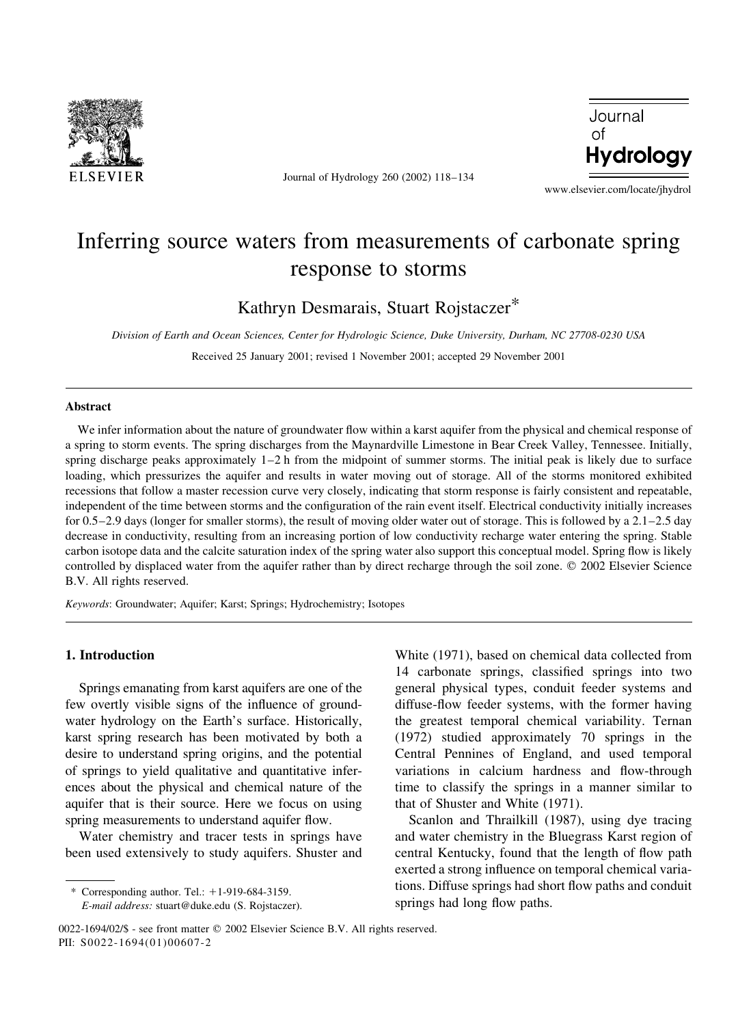

Journal of Hydrology 260 (2002) 118-134



www.elsevier.com/locate/jhydrol

# Inferring source waters from measurements of carbonate spring response to storms

Kathryn Desmarais, Stuart Rojstaczer<sup>\*</sup>

Division of Earth and Ocean Sciences, Center for Hydrologic Science, Duke University, Durham, NC 27708-0230 USA

Received 25 January 2001; revised 1 November 2001; accepted 29 November 2001

#### Abstract

We infer information about the nature of groundwater flow within a karst aquifer from the physical and chemical response of a spring to storm events. The spring discharges from the Maynardville Limestone in Bear Creek Valley, Tennessee. Initially, spring discharge peaks approximately  $1-2$  h from the midpoint of summer storms. The initial peak is likely due to surface loading, which pressurizes the aquifer and results in water moving out of storage. All of the storms monitored exhibited recessions that follow a master recession curve very closely, indicating that storm response is fairly consistent and repeatable. independent of the time between storms and the configuration of the rain event itself. Electrical conductivity initially increases for 0.5–2.9 days (longer for smaller storms), the result of moving older water out of storage. This is followed by a  $2.1$ –2.5 day decrease in conductivity, resulting from an increasing portion of low conductivity recharge water entering the spring. Stable carbon isotope data and the calcite saturation index of the spring water also support this conceptual model. Spring flow is likely controlled by displaced water from the aquifer rather than by direct recharge through the soil zone. © 2002 Elsevier Science B.V. All rights reserved.

Keywords: Groundwater; Aquifer; Karst; Springs; Hydrochemistry; Isotopes

# 1. Introduction

Springs emanating from karst aquifers are one of the few overtly visible signs of the influence of groundwater hydrology on the Earth's surface. Historically, karst spring research has been motivated by both a desire to understand spring origins, and the potential of springs to yield qualitative and quantitative inferences about the physical and chemical nature of the aquifer that is their source. Here we focus on using spring measurements to understand aquifer flow.

Water chemistry and tracer tests in springs have been used extensively to study aquifers. Shuster and

\* Corresponding author. Tel.: +1-919-684-3159. E-mail address: stuart@duke.edu (S. Rojstaczer). White (1971), based on chemical data collected from 14 carbonate springs, classified springs into two general physical types, conduit feeder systems and diffuse-flow feeder systems, with the former having the greatest temporal chemical variability. Ternan (1972) studied approximately 70 springs in the Central Pennines of England, and used temporal variations in calcium hardness and flow-through time to classify the springs in a manner similar to that of Shuster and White (1971).

Scanlon and Thrailkill (1987), using dye tracing and water chemistry in the Bluegrass Karst region of central Kentucky, found that the length of flow path exerted a strong influence on temporal chemical variations. Diffuse springs had short flow paths and conduit springs had long flow paths.

<sup>0022-1694/02/\$ -</sup> see front matter © 2002 Elsevier Science B.V. All rights reserved. PII: S0022-1694(01)00607-2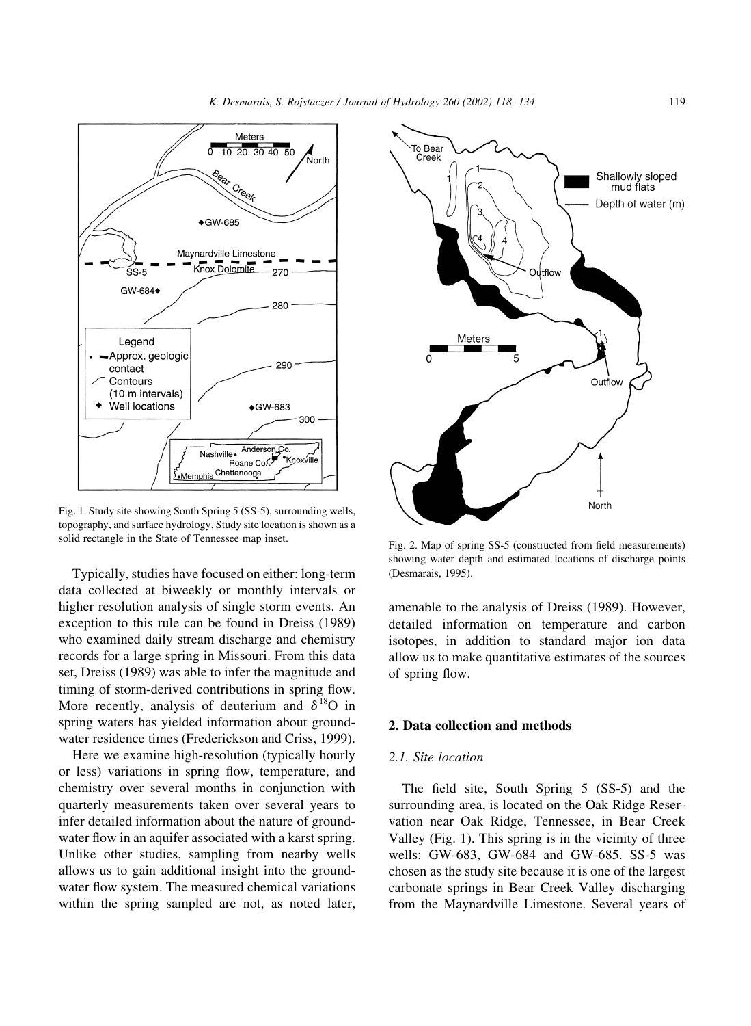

Fig. 1. Study site showing South Spring 5 (SS-5), surrounding wells, topography, and surface hydrology. Study site location is shown as a solid rectangle in the State of Tennessee map inset.

Typically, studies have focused on either: long-term data collected at biweekly or monthly intervals or higher resolution analysis of single storm events. An exception to this rule can be found in Dreiss (1989) who examined daily stream discharge and chemistry records for a large spring in Missouri. From this data set, Dreiss (1989) was able to infer the magnitude and timing of storm-derived contributions in spring flow. More recently, analysis of deuterium and  $\delta^{18}O$  in spring waters has yielded information about groundwater residence times (Frederickson and Criss, 1999).

Here we examine high-resolution (typically hourly or less) variations in spring flow, temperature, and chemistry over several months in conjunction with quarterly measurements taken over several years to infer detailed information about the nature of groundwater flow in an aquifer associated with a karst spring. Unlike other studies, sampling from nearby wells allows us to gain additional insight into the groundwater flow system. The measured chemical variations within the spring sampled are not, as noted later,



Fig. 2. Map of spring SS-5 (constructed from field measurements) showing water depth and estimated locations of discharge points (Desmarais, 1995).

amenable to the analysis of Dreiss (1989). However, detailed information on temperature and carbon isotopes, in addition to standard major ion data allow us to make quantitative estimates of the sources of spring flow.

#### 2. Data collection and methods

# 2.1. Site location

The field site, South Spring 5 (SS-5) and the surrounding area, is located on the Oak Ridge Reservation near Oak Ridge, Tennessee, in Bear Creek Valley (Fig. 1). This spring is in the vicinity of three wells: GW-683, GW-684 and GW-685. SS-5 was chosen as the study site because it is one of the largest carbonate springs in Bear Creek Valley discharging from the Maynardville Limestone. Several years of

119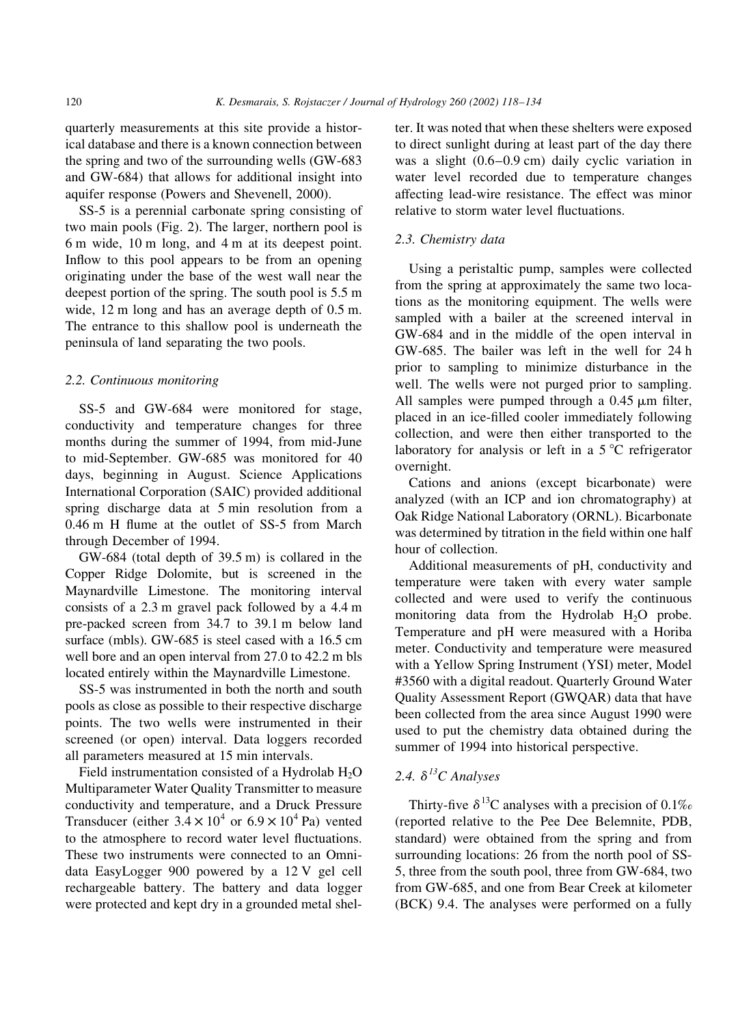quarterly measurements at this site provide a historical database and there is a known connection between the spring and two of the surrounding wells (GW-683) and GW-684) that allows for additional insight into aquifer response (Powers and Shevenell, 2000).

SS-5 is a perennial carbonate spring consisting of two main pools (Fig. 2). The larger, northern pool is 6 m wide, 10 m long, and 4 m at its deepest point. Inflow to this pool appears to be from an opening originating under the base of the west wall near the deepest portion of the spring. The south pool is 5.5 m wide,  $12 \text{ m}$  long and has an average depth of  $0.5 \text{ m}$ . The entrance to this shallow pool is underneath the peninsula of land separating the two pools.

#### 2.2. Continuous monitoring

SS-5 and GW-684 were monitored for stage, conductivity and temperature changes for three months during the summer of 1994, from mid-June to mid-September. GW-685 was monitored for 40 days, beginning in August. Science Applications International Corporation (SAIC) provided additional spring discharge data at 5 min resolution from a 0.46 m H flume at the outlet of SS-5 from March through December of 1994.

GW-684 (total depth of 39.5 m) is collared in the Copper Ridge Dolomite, but is screened in the Maynardville Limestone. The monitoring interval consists of a 2.3 m gravel pack followed by a 4.4 m pre-packed screen from 34.7 to 39.1 m below land surface (mbls). GW-685 is steel cased with a 16.5 cm well bore and an open interval from 27.0 to 42.2 m bls located entirely within the Maynardville Limestone.

SS-5 was instrumented in both the north and south pools as close as possible to their respective discharge points. The two wells were instrumented in their screened (or open) interval. Data loggers recorded all parameters measured at 15 min intervals.

Field instrumentation consisted of a Hydrolab  $H_2O$ Multiparameter Water Quality Transmitter to measure conductivity and temperature, and a Druck Pressure Transducer (either  $3.4 \times 10^4$  or  $6.9 \times 10^4$  Pa) vented to the atmosphere to record water level fluctuations. These two instruments were connected to an Omnidata EasyLogger 900 powered by a 12 V gel cell rechargeable battery. The battery and data logger were protected and kept dry in a grounded metal shelter. It was noted that when these shelters were exposed to direct sunlight during at least part of the day there was a slight  $(0.6-0.9 \text{ cm})$  daily cyclic variation in water level recorded due to temperature changes affecting lead-wire resistance. The effect was minor relative to storm water level fluctuations.

### 2.3. Chemistry data

Using a peristaltic pump, samples were collected from the spring at approximately the same two locations as the monitoring equipment. The wells were sampled with a bailer at the screened interval in GW-684 and in the middle of the open interval in GW-685. The bailer was left in the well for 24 h prior to sampling to minimize disturbance in the well. The wells were not purged prior to sampling. All samples were pumped through a  $0.45 \mu m$  filter, placed in an ice-filled cooler immediately following collection, and were then either transported to the laboratory for analysis or left in a 5 °C refrigerator overnight.

Cations and anions (except bicarbonate) were analyzed (with an ICP and ion chromatography) at Oak Ridge National Laboratory (ORNL). Bicarbonate was determined by titration in the field within one half hour of collection.

Additional measurements of pH, conductivity and temperature were taken with every water sample collected and were used to verify the continuous monitoring data from the Hydrolab  $H_2O$  probe. Temperature and pH were measured with a Horiba meter. Conductivity and temperature were measured with a Yellow Spring Instrument (YSI) meter, Model #3560 with a digital readout. Quarterly Ground Water Quality Assessment Report (GWQAR) data that have been collected from the area since August 1990 were used to put the chemistry data obtained during the summer of 1994 into historical perspective.

# 2.4.  $\delta^{13}$ C Analyses

Thirty-five  $\delta^{13}$ C analyses with a precision of 0.1% (reported relative to the Pee Dee Belemnite, PDB, standard) were obtained from the spring and from surrounding locations: 26 from the north pool of SS-5, three from the south pool, three from GW-684, two from GW-685, and one from Bear Creek at kilometer (BCK) 9.4. The analyses were performed on a fully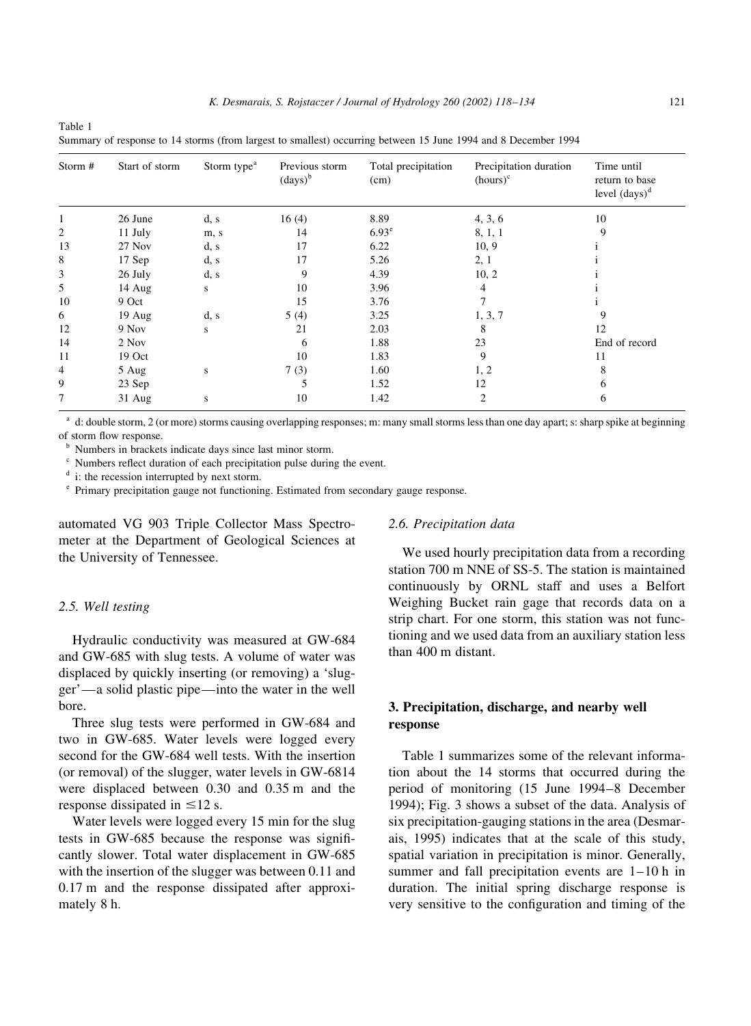| Storm # | Start of storm | Storm type <sup>a</sup> | Previous storm<br>$\left(\text{days}\right)^b$ | Total precipitation<br>(cm) | Precipitation duration<br>$(hours)^c$ | Time until<br>return to base<br>level $(days)^d$ |
|---------|----------------|-------------------------|------------------------------------------------|-----------------------------|---------------------------------------|--------------------------------------------------|
|         | 26 June        | d, s                    | 16(4)                                          | 8.89                        | 4, 3, 6                               | 10                                               |
| 2       | 11 July        | m, s                    | 14                                             | $6.93^{\circ}$              | 8, 1, 1                               | 9                                                |
| 13      | 27 Nov         | d, s                    | 17                                             | 6.22                        | 10, 9                                 |                                                  |
| 8       | 17 Sep         | d, s                    | 17                                             | 5.26                        | 2, 1                                  |                                                  |
| 3       | 26 July        | d, s                    | 9                                              | 4.39                        | 10, 2                                 |                                                  |
| 5       | 14 Aug         | s                       | 10                                             | 3.96                        | 4                                     |                                                  |
| 10      | 9 Oct          |                         | 15                                             | 3.76                        |                                       |                                                  |
| 6       | $19$ Aug       | d, s                    | 5(4)                                           | 3.25                        | 1, 3, 7                               | 9                                                |
| 12      | 9 Nov          | S                       | 21                                             | 2.03                        | 8                                     | 12                                               |
| 14      | 2 Nov          |                         | 6                                              | 1.88                        | 23                                    | End of record                                    |
| 11      | 19 Oct         |                         | 10                                             | 1.83                        | 9                                     | 11                                               |
| 4       | 5 Aug          | S                       | 7(3)                                           | 1.60                        | 1, 2                                  | 8                                                |
| 9       | 23 Sep         |                         | 5                                              | 1.52                        | 12                                    | 6                                                |
| 7       | $31$ Aug       | S                       | 10                                             | 1.42                        | 2                                     | 6                                                |

Table 1 Summary of response to 14 storms (from largest to smallest) occurring between 15 June 1994 and 8 December 1994

d: double storm, 2 (or more) storms causing overlapping responses; m: many small storms less than one day apart; s: sharp spike at beginning of storm flow response.

<sup>b</sup> Numbers in brackets indicate days since last minor storm.

<sup>c</sup> Numbers reflect duration of each precipitation pulse during the event.

 $\phi$  i: the recession interrupted by next storm.

<sup>e</sup> Primary precipitation gauge not functioning. Estimated from secondary gauge response.

automated VG 903 Triple Collector Mass Spectrometer at the Department of Geological Sciences at the University of Tennessee.

#### 2.5. Well testing

Hydraulic conductivity was measured at GW-684 and GW-685 with slug tests. A volume of water was displaced by quickly inserting (or removing) a 'slugger'—a solid plastic pipe—into the water in the well hore.

Three slug tests were performed in GW-684 and two in GW-685. Water levels were logged every second for the GW-684 well tests. With the insertion (or removal) of the slugger, water levels in GW-6814 were displaced between 0.30 and 0.35 m and the response dissipated in  $\leq$ 12 s.

Water levels were logged every 15 min for the slug tests in GW-685 because the response was significantly slower. Total water displacement in GW-685 with the insertion of the slugger was between 0.11 and  $0.17 \text{ m}$  and the response dissipated after approximately 8 h.

#### 2.6. Precipitation data

We used hourly precipitation data from a recording station 700 m NNE of SS-5. The station is maintained continuously by ORNL staff and uses a Belfort Weighing Bucket rain gage that records data on a strip chart. For one storm, this station was not functioning and we used data from an auxiliary station less than 400 m distant.

# 3. Precipitation, discharge, and nearby well response

Table 1 summarizes some of the relevant information about the 14 storms that occurred during the period of monitoring (15 June 1994-8 December 1994); Fig. 3 shows a subset of the data. Analysis of six precipitation-gauging stations in the area (Desmarais, 1995) indicates that at the scale of this study, spatial variation in precipitation is minor. Generally, summer and fall precipitation events are  $1-10$  h in duration. The initial spring discharge response is very sensitive to the configuration and timing of the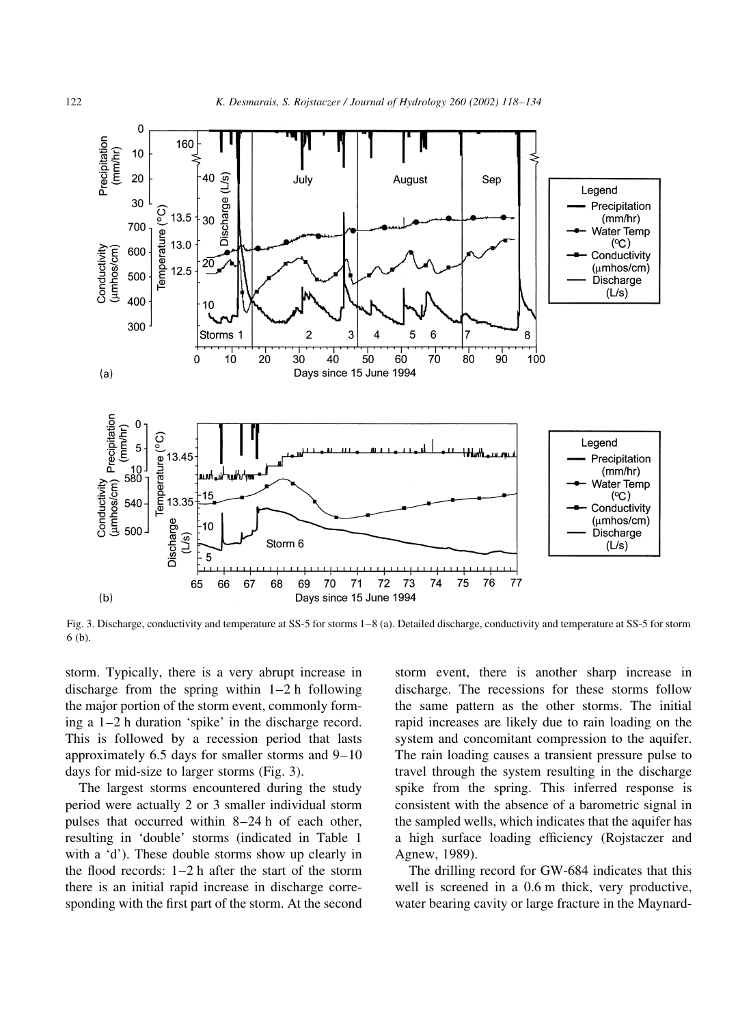

Fig. 3. Discharge, conductivity and temperature at SS-5 for storms 1-8 (a). Detailed discharge, conductivity and temperature at SS-5 for storm  $6(b)$ .

storm. Typically, there is a very abrupt increase in discharge from the spring within  $1-2$  h following the major portion of the storm event, commonly forming a  $1-2$  h duration 'spike' in the discharge record. This is followed by a recession period that lasts approximately  $6.5$  days for smaller storms and  $9-10$ days for mid-size to larger storms (Fig. 3).

The largest storms encountered during the study period were actually 2 or 3 smaller individual storm pulses that occurred within 8-24 h of each other, resulting in 'double' storms (indicated in Table 1 with a 'd'). These double storms show up clearly in the flood records:  $1-2$  h after the start of the storm there is an initial rapid increase in discharge corresponding with the first part of the storm. At the second storm event, there is another sharp increase in discharge. The recessions for these storms follow the same pattern as the other storms. The initial rapid increases are likely due to rain loading on the system and concomitant compression to the aquifer. The rain loading causes a transient pressure pulse to travel through the system resulting in the discharge spike from the spring. This inferred response is consistent with the absence of a barometric signal in the sampled wells, which indicates that the aquifer has a high surface loading efficiency (Rojstaczer and Agnew, 1989).

The drilling record for GW-684 indicates that this well is screened in a 0.6 m thick, very productive, water bearing cavity or large fracture in the Maynard-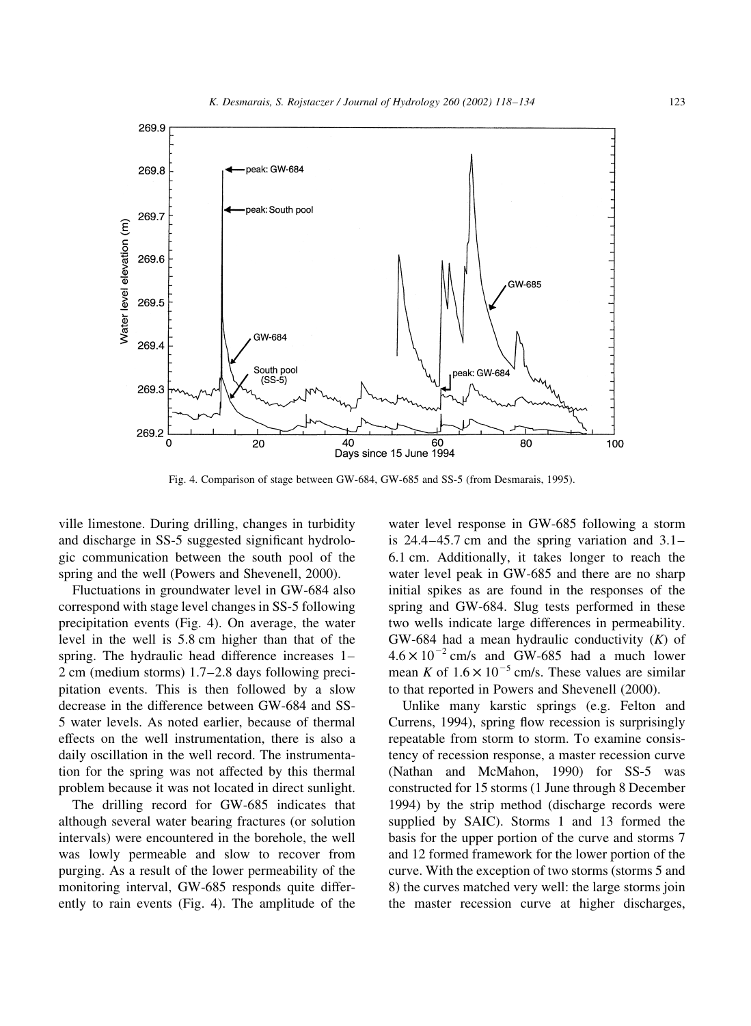

Fig. 4. Comparison of stage between GW-684, GW-685 and SS-5 (from Desmarais, 1995).

ville limestone. During drilling, changes in turbidity and discharge in SS-5 suggested significant hydrologic communication between the south pool of the spring and the well (Powers and Shevenell, 2000).

Fluctuations in groundwater level in GW-684 also correspond with stage level changes in SS-5 following precipitation events (Fig. 4). On average, the water level in the well is 5.8 cm higher than that of the spring. The hydraulic head difference increases 1- $2 \text{ cm}$  (medium storms) 1.7–2.8 days following precipitation events. This is then followed by a slow decrease in the difference between GW-684 and SS-5 water levels. As noted earlier, because of thermal effects on the well instrumentation, there is also a daily oscillation in the well record. The instrumentation for the spring was not affected by this thermal problem because it was not located in direct sunlight.

The drilling record for GW-685 indicates that although several water bearing fractures (or solution intervals) were encountered in the borehole, the well was lowly permeable and slow to recover from purging. As a result of the lower permeability of the monitoring interval, GW-685 responds quite differently to rain events (Fig. 4). The amplitude of the

water level response in GW-685 following a storm is  $24.4-45.7$  cm and the spring variation and  $3.1-$ 6.1 cm. Additionally, it takes longer to reach the water level peak in GW-685 and there are no sharp initial spikes as are found in the responses of the spring and GW-684. Slug tests performed in these two wells indicate large differences in permeability. GW-684 had a mean hydraulic conductivity  $(K)$  of  $4.6 \times 10^{-2}$  cm/s and GW-685 had a much lower mean K of  $1.6 \times 10^{-5}$  cm/s. These values are similar to that reported in Powers and Shevenell (2000).

Unlike many karstic springs (e.g. Felton and Currens, 1994), spring flow recession is surprisingly repeatable from storm to storm. To examine consistency of recession response, a master recession curve (Nathan and McMahon, 1990) for SS-5 was constructed for 15 storms (1 June through 8 December 1994) by the strip method (discharge records were supplied by SAIC). Storms 1 and 13 formed the basis for the upper portion of the curve and storms 7 and 12 formed framework for the lower portion of the curve. With the exception of two storms (storms 5 and 8) the curves matched very well: the large storms join the master recession curve at higher discharges,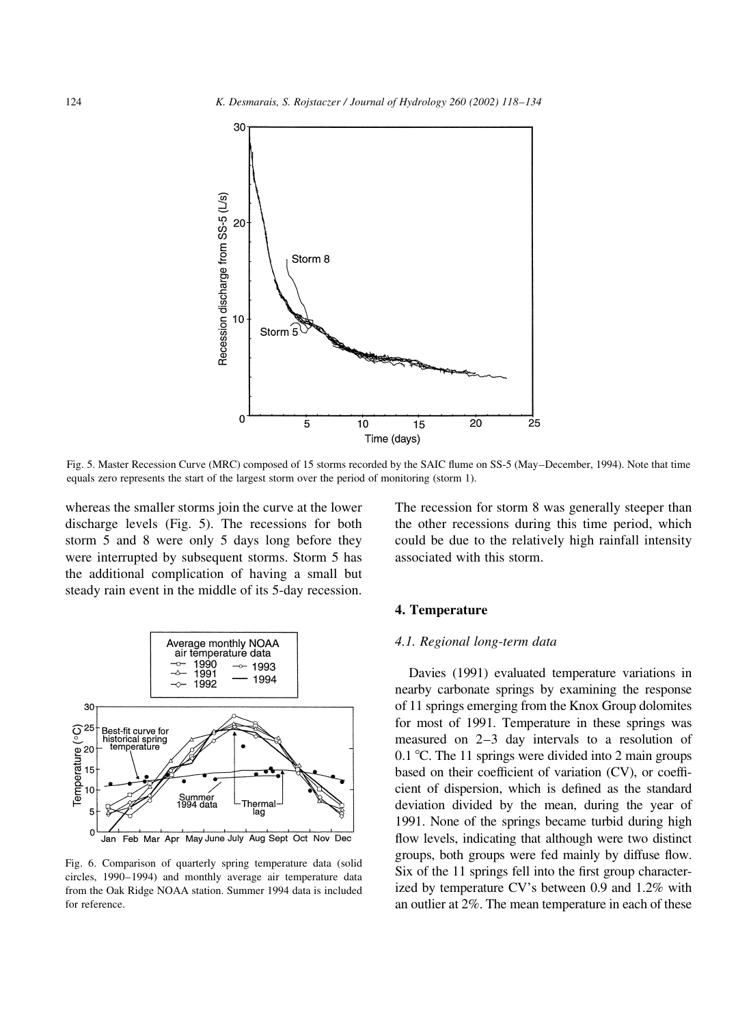

Fig. 5. Master Recession Curve (MRC) composed of 15 storms recorded by the SAIC flume on SS-5 (May-December, 1994). Note that time equals zero represents the start of the largest storm over the period of monitoring (storm 1).

whereas the smaller storms join the curve at the lower discharge levels (Fig. 5). The recessions for both storm 5 and 8 were only 5 days long before they were interrupted by subsequent storms. Storm 5 has the additional complication of having a small but steady rain event in the middle of its 5-day recession.



Fig. 6. Comparison of quarterly spring temperature data (solid circles, 1990-1994) and monthly average air temperature data from the Oak Ridge NOAA station. Summer 1994 data is included for reference.

The recession for storm 8 was generally steeper than the other recessions during this time period, which could be due to the relatively high rainfall intensity associated with this storm.

#### 4. Temperature

#### 4.1. Regional long-term data

Davies (1991) evaluated temperature variations in nearby carbonate springs by examining the response of 11 springs emerging from the Knox Group dolomites for most of 1991. Temperature in these springs was measured on  $2-3$  day intervals to a resolution of 0.1 °C. The 11 springs were divided into 2 main groups based on their coefficient of variation (CV), or coefficient of dispersion, which is defined as the standard deviation divided by the mean, during the year of 1991. None of the springs became turbid during high flow levels, indicating that although were two distinct groups, both groups were fed mainly by diffuse flow. Six of the 11 springs fell into the first group characterized by temperature CV's between 0.9 and 1.2% with an outlier at 2%. The mean temperature in each of these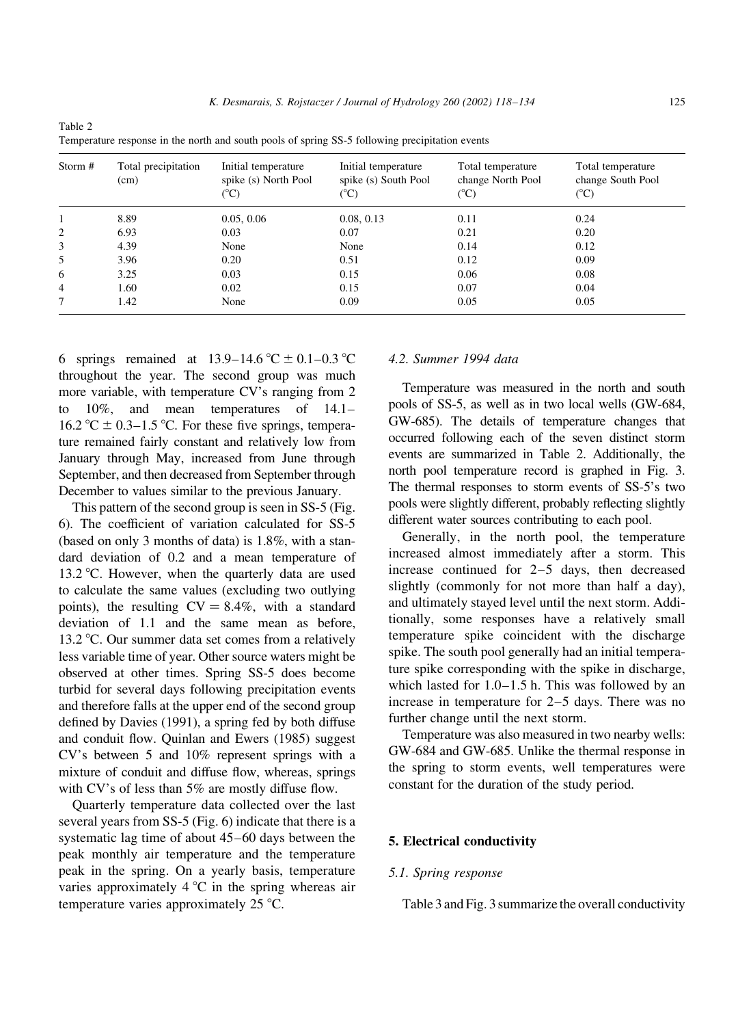| Storm #        | Total precipitation<br>(cm) | Initial temperature<br>spike (s) North Pool<br>(°C) | Initial temperature<br>spike (s) South Pool<br>(°C) | Total temperature<br>change North Pool<br>$({}^{\circ}C)$ | Total temperature<br>change South Pool<br>$(^{\circ}C)$ |
|----------------|-----------------------------|-----------------------------------------------------|-----------------------------------------------------|-----------------------------------------------------------|---------------------------------------------------------|
|                | 8.89                        | 0.05, 0.06                                          | 0.08, 0.13                                          | 0.11                                                      | 0.24                                                    |
| 2              | 6.93                        | 0.03                                                | 0.07                                                | 0.21                                                      | 0.20                                                    |
| 3              | 4.39                        | None                                                | None                                                | 0.14                                                      | 0.12                                                    |
| 5              | 3.96                        | 0.20                                                | 0.51                                                | 0.12                                                      | 0.09                                                    |
| 6              | 3.25                        | 0.03                                                | 0.15                                                | 0.06                                                      | 0.08                                                    |
| $\overline{4}$ | 1.60                        | 0.02                                                | 0.15                                                | 0.07                                                      | 0.04                                                    |
| 7              | 1.42                        | None                                                | 0.09                                                | 0.05                                                      | 0.05                                                    |

Table 2 Temperature response in the north and south pools of spring SS-5 following precipitation events

6 springs remained at 13.9–14.6 °C  $\pm$  0.1–0.3 °C throughout the year. The second group was much more variable, with temperature CV's ranging from 2  $10\%$ , and mean temperatures of  $14.1$ to 16.2 °C  $\pm$  0.3–1.5 °C. For these five springs, temperature remained fairly constant and relatively low from January through May, increased from June through September, and then decreased from September through December to values similar to the previous January.

This pattern of the second group is seen in SS-5 (Fig. 6). The coefficient of variation calculated for SS-5 (based on only 3 months of data) is 1.8%, with a standard deviation of 0.2 and a mean temperature of 13.2 °C. However, when the quarterly data are used to calculate the same values (excluding two outlying points), the resulting  $CV = 8.4\%$ , with a standard deviation of 1.1 and the same mean as before. 13.2 °C. Our summer data set comes from a relatively less variable time of year. Other source waters might be observed at other times. Spring SS-5 does become turbid for several days following precipitation events and therefore falls at the upper end of the second group defined by Davies (1991), a spring fed by both diffuse and conduit flow. Quinlan and Ewers (1985) suggest CV's between 5 and 10% represent springs with a mixture of conduit and diffuse flow, whereas, springs with CV's of less than 5% are mostly diffuse flow.

Quarterly temperature data collected over the last several years from SS-5 (Fig. 6) indicate that there is a systematic lag time of about 45–60 days between the peak monthly air temperature and the temperature peak in the spring. On a yearly basis, temperature varies approximately  $4^{\circ}$ C in the spring whereas air temperature varies approximately 25 °C.

# 4.2. Summer 1994 data

Temperature was measured in the north and south pools of SS-5, as well as in two local wells (GW-684, GW-685). The details of temperature changes that occurred following each of the seven distinct storm events are summarized in Table 2. Additionally, the north pool temperature record is graphed in Fig. 3. The thermal responses to storm events of SS-5's two pools were slightly different, probably reflecting slightly different water sources contributing to each pool.

Generally, in the north pool, the temperature increased almost immediately after a storm. This increase continued for  $2-5$  days, then decreased slightly (commonly for not more than half a day), and ultimately stayed level until the next storm. Additionally, some responses have a relatively small temperature spike coincident with the discharge spike. The south pool generally had an initial temperature spike corresponding with the spike in discharge, which lasted for  $1.0-1.5$  h. This was followed by an increase in temperature for  $2-5$  days. There was no further change until the next storm.

Temperature was also measured in two nearby wells: GW-684 and GW-685. Unlike the thermal response in the spring to storm events, well temperatures were constant for the duration of the study period.

### 5. Electrical conductivity

### 5.1. Spring response

Table 3 and Fig. 3 summarize the overall conductivity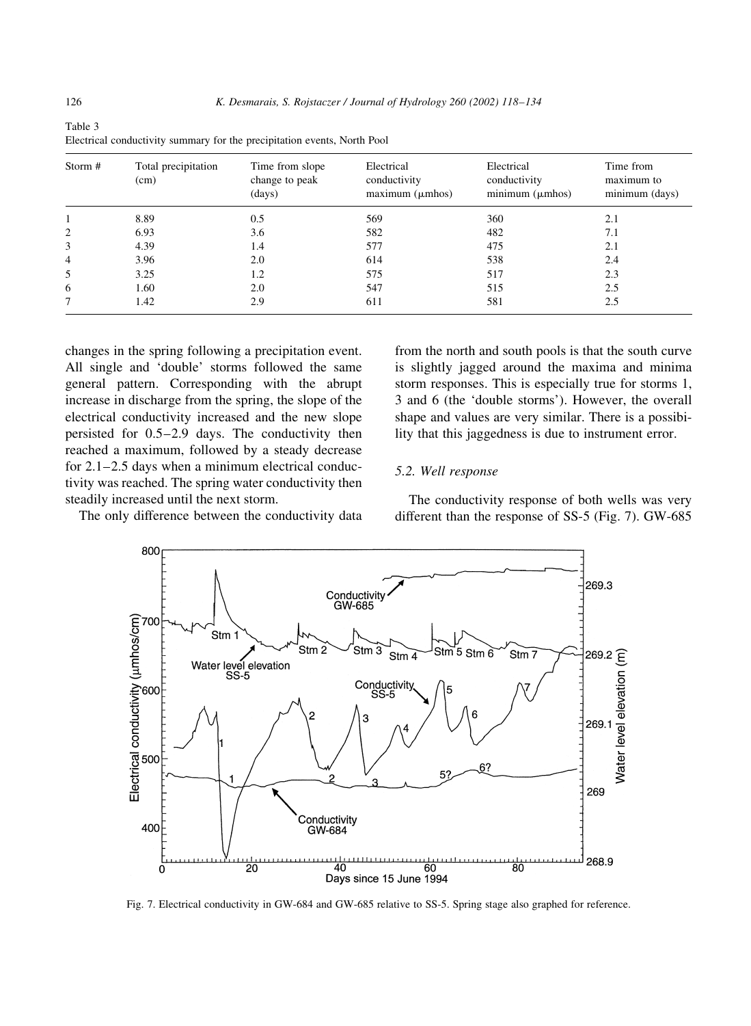| Storm #        | Total precipitation<br>(cm) | Time from slope<br>change to peak<br>(days) | Electrical<br>conductivity<br>maximum (µmhos) | Electrical<br>conductivity<br>minimum (µmhos) | Time from<br>maximum to<br>minimum (days) |
|----------------|-----------------------------|---------------------------------------------|-----------------------------------------------|-----------------------------------------------|-------------------------------------------|
|                | 8.89                        | 0.5                                         | 569                                           | 360                                           | 2.1                                       |
| 2              | 6.93                        | 3.6                                         | 582                                           | 482                                           | 7.1                                       |
| 3              | 4.39                        | 1.4                                         | 577                                           | 475                                           | 2.1                                       |
| $\overline{4}$ | 3.96                        | 2.0                                         | 614                                           | 538                                           | 2.4                                       |
| 5              | 3.25                        | 1.2                                         | 575                                           | 517                                           | 2.3                                       |
| 6              | 1.60                        | 2.0                                         | 547                                           | 515                                           | 2.5                                       |
|                | 1.42                        | 2.9                                         | 611                                           | 581                                           | 2.5                                       |

Table 3 Electrical conductivity summary for the precipitation events, North Pool

changes in the spring following a precipitation event. All single and 'double' storms followed the same general pattern. Corresponding with the abrupt increase in discharge from the spring, the slope of the electrical conductivity increased and the new slope persisted for 0.5-2.9 days. The conductivity then reached a maximum, followed by a steady decrease for  $2.1 - 2.5$  days when a minimum electrical conductivity was reached. The spring water conductivity then steadily increased until the next storm.

The only difference between the conductivity data

from the north and south pools is that the south curve is slightly jagged around the maxima and minima storm responses. This is especially true for storms 1, 3 and 6 (the 'double storms'). However, the overall shape and values are very similar. There is a possibility that this jaggedness is due to instrument error.

#### 5.2. Well response

The conductivity response of both wells was very different than the response of SS-5 (Fig. 7). GW-685



Fig. 7. Electrical conductivity in GW-684 and GW-685 relative to SS-5. Spring stage also graphed for reference.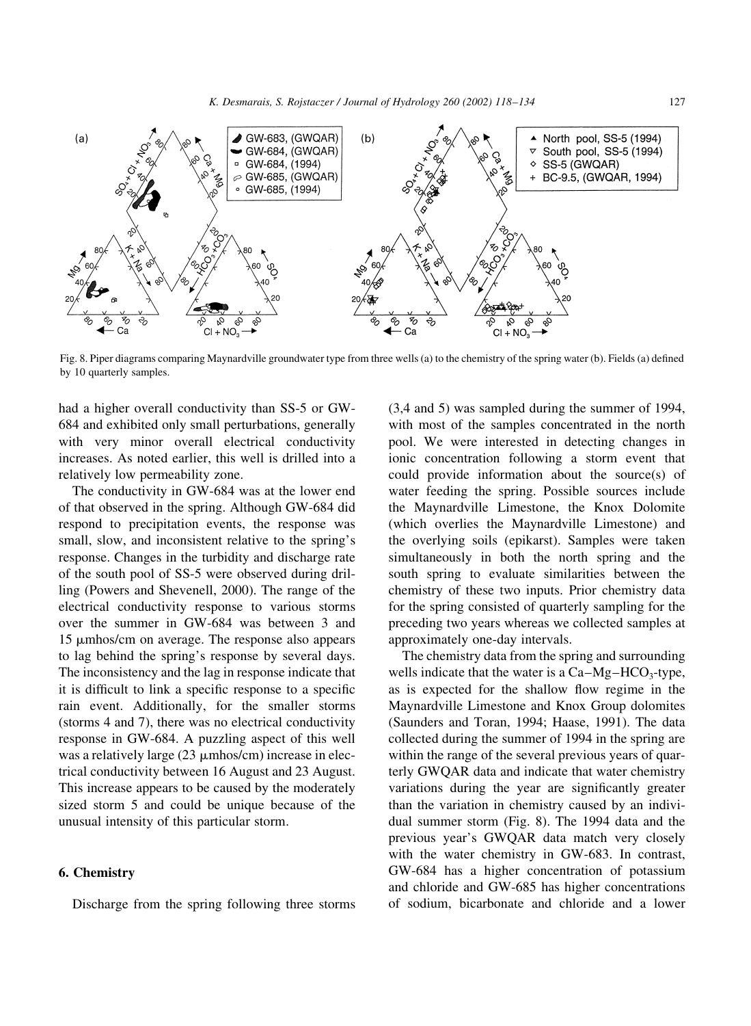

Fig. 8. Piper diagrams comparing Maynardville groundwater type from three wells (a) to the chemistry of the spring water (b). Fields (a) defined by 10 quarterly samples.

had a higher overall conductivity than SS-5 or GW-684 and exhibited only small perturbations, generally with very minor overall electrical conductivity increases. As noted earlier, this well is drilled into a relatively low permeability zone.

The conductivity in GW-684 was at the lower end of that observed in the spring. Although GW-684 did respond to precipitation events, the response was small, slow, and inconsistent relative to the spring's response. Changes in the turbidity and discharge rate of the south pool of SS-5 were observed during drilling (Powers and Shevenell, 2000). The range of the electrical conductivity response to various storms over the summer in GW-684 was between 3 and 15 µmhos/cm on average. The response also appears to lag behind the spring's response by several days. The inconsistency and the lag in response indicate that it is difficult to link a specific response to a specific rain event. Additionally, for the smaller storms (storms 4 and 7), there was no electrical conductivity response in GW-684. A puzzling aspect of this well was a relatively large  $(23 \mu m \text{hos/cm})$  increase in electrical conductivity between 16 August and 23 August. This increase appears to be caused by the moderately sized storm 5 and could be unique because of the unusual intensity of this particular storm.

# 6. Chemistry

Discharge from the spring following three storms

(3,4 and 5) was sampled during the summer of 1994, with most of the samples concentrated in the north pool. We were interested in detecting changes in ionic concentration following a storm event that could provide information about the source(s) of water feeding the spring. Possible sources include the Maynardville Limestone, the Knox Dolomite (which overlies the Maynardville Limestone) and the overlying soils (epikarst). Samples were taken simultaneously in both the north spring and the south spring to evaluate similarities between the chemistry of these two inputs. Prior chemistry data for the spring consisted of quarterly sampling for the preceding two years whereas we collected samples at approximately one-day intervals.

The chemistry data from the spring and surrounding wells indicate that the water is a  $Ca-Mg-HCO<sub>3</sub>$ -type, as is expected for the shallow flow regime in the Maynardville Limestone and Knox Group dolomites (Saunders and Toran, 1994; Haase, 1991). The data collected during the summer of 1994 in the spring are within the range of the several previous years of quarterly GWQAR data and indicate that water chemistry variations during the year are significantly greater than the variation in chemistry caused by an individual summer storm (Fig. 8). The 1994 data and the previous year's GWQAR data match very closely with the water chemistry in GW-683. In contrast, GW-684 has a higher concentration of potassium and chloride and GW-685 has higher concentrations of sodium, bicarbonate and chloride and a lower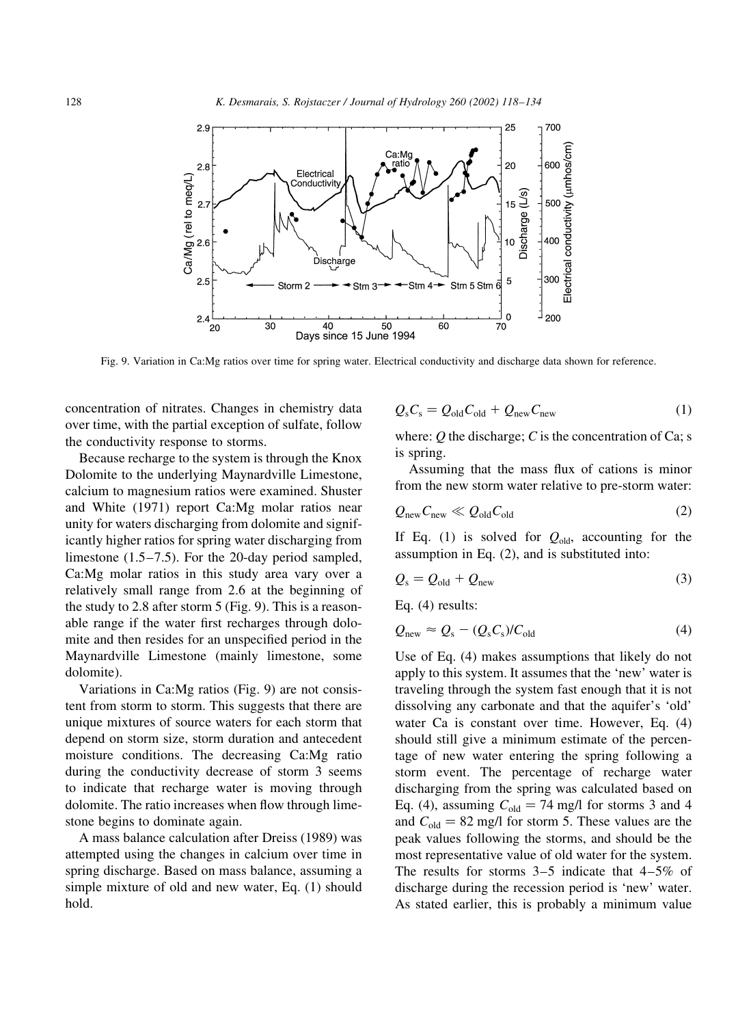

Fig. 9. Variation in Ca:Mg ratios over time for spring water. Electrical conductivity and discharge data shown for reference.

concentration of nitrates. Changes in chemistry data over time, with the partial exception of sulfate, follow the conductivity response to storms.

Because recharge to the system is through the Knox Dolomite to the underlying Maynardville Limestone, calcium to magnesium ratios were examined. Shuster and White (1971) report Ca:Mg molar ratios near unity for waters discharging from dolomite and significantly higher ratios for spring water discharging from limestone  $(1.5-7.5)$ . For the 20-day period sampled, Ca:Mg molar ratios in this study area vary over a relatively small range from 2.6 at the beginning of the study to 2.8 after storm  $5$  (Fig. 9). This is a reasonable range if the water first recharges through dolomite and then resides for an unspecified period in the Maynardville Limestone (mainly limestone, some dolomite).

Variations in Ca:Mg ratios (Fig. 9) are not consistent from storm to storm. This suggests that there are unique mixtures of source waters for each storm that depend on storm size, storm duration and antecedent moisture conditions. The decreasing Ca:Mg ratio during the conductivity decrease of storm 3 seems to indicate that recharge water is moving through dolomite. The ratio increases when flow through limestone begins to dominate again.

A mass balance calculation after Dreiss (1989) was attempted using the changes in calcium over time in spring discharge. Based on mass balance, assuming a simple mixture of old and new water, Eq. (1) should hold.

$$
Q_{\rm s}C_{\rm s} = Q_{\rm old}C_{\rm old} + Q_{\rm new}C_{\rm new}
$$
 (1)

where: Q the discharge; C is the concentration of Ca; s is spring.

Assuming that the mass flux of cations is minor from the new storm water relative to pre-storm water:

$$
Q_{\text{new}} C_{\text{new}} \ll Q_{\text{old}} C_{\text{old}} \tag{2}
$$

If Eq. (1) is solved for  $Q_{old}$ , accounting for the assumption in Eq.  $(2)$ , and is substituted into:

$$
Q_{\rm s} = Q_{\rm old} + Q_{\rm new} \tag{3}
$$

Eq.  $(4)$  results:

$$
Q_{\text{new}} \approx Q_{\text{s}} - (Q_{\text{s}}C_{\text{s}}) / C_{\text{old}} \tag{4}
$$

Use of Eq. (4) makes assumptions that likely do not apply to this system. It assumes that the 'new' water is traveling through the system fast enough that it is not dissolving any carbonate and that the aquifer's 'old' water Ca is constant over time. However, Eq. (4) should still give a minimum estimate of the percentage of new water entering the spring following a storm event. The percentage of recharge water discharging from the spring was calculated based on Eq. (4), assuming  $C_{old} = 74$  mg/l for storms 3 and 4 and  $C_{old} = 82$  mg/l for storm 5. These values are the peak values following the storms, and should be the most representative value of old water for the system. The results for storms  $3-5$  indicate that  $4-5\%$  of discharge during the recession period is 'new' water. As stated earlier, this is probably a minimum value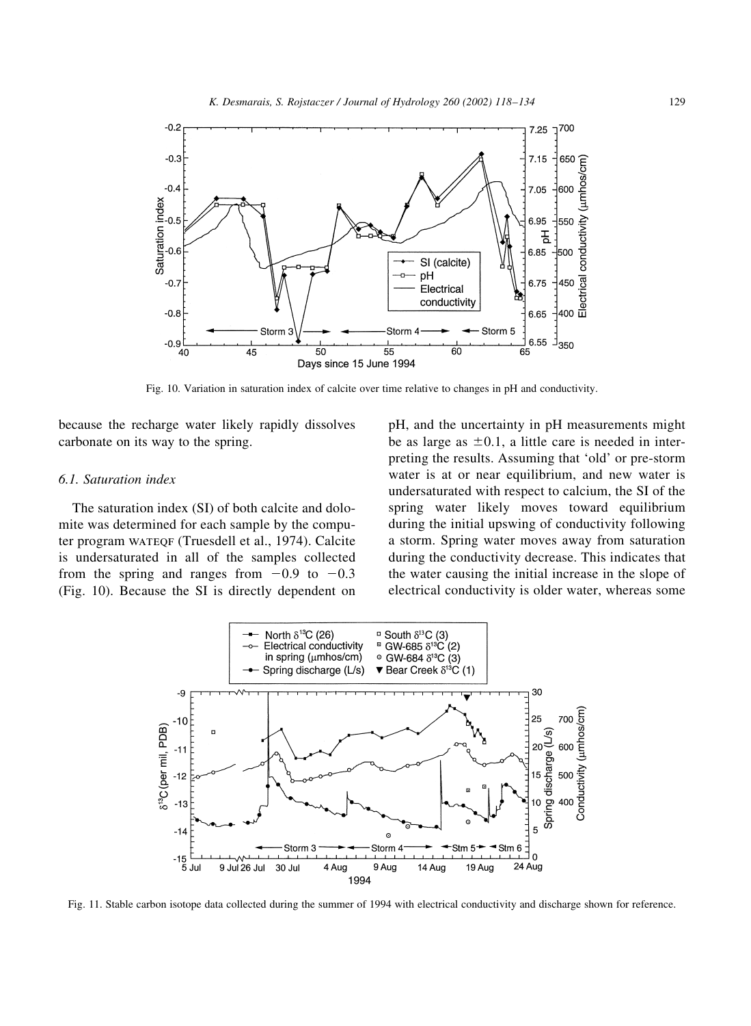

Fig. 10. Variation in saturation index of calcite over time relative to changes in pH and conductivity.

because the recharge water likely rapidly dissolves carbonate on its way to the spring.

#### 6.1. Saturation index

The saturation index (SI) of both calcite and dolomite was determined for each sample by the computer program WATEQF (Truesdell et al., 1974). Calcite is undersaturated in all of the samples collected from the spring and ranges from  $-0.9$  to  $-0.3$ (Fig. 10). Because the SI is directly dependent on pH, and the uncertainty in pH measurements might be as large as  $\pm 0.1$ , a little care is needed in interpreting the results. Assuming that 'old' or pre-storm water is at or near equilibrium, and new water is undersaturated with respect to calcium, the SI of the spring water likely moves toward equilibrium during the initial upswing of conductivity following a storm. Spring water moves away from saturation during the conductivity decrease. This indicates that the water causing the initial increase in the slope of electrical conductivity is older water, whereas some



Fig. 11. Stable carbon isotope data collected during the summer of 1994 with electrical conductivity and discharge shown for reference.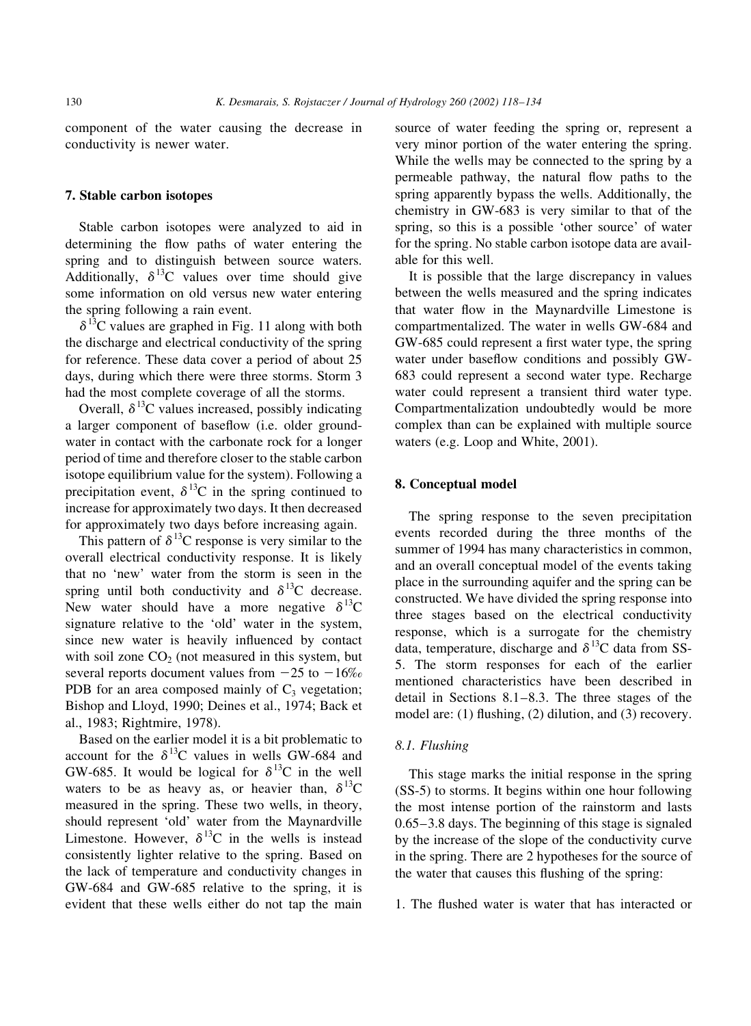component of the water causing the decrease in conductivity is newer water.

# 7. Stable carbon isotopes

Stable carbon isotopes were analyzed to aid in determining the flow paths of water entering the spring and to distinguish between source waters. Additionally,  $\delta^{13}$ C values over time should give some information on old versus new water entering the spring following a rain event.

 $\delta^{13}$ C values are graphed in Fig. 11 along with both the discharge and electrical conductivity of the spring for reference. These data cover a period of about 25 days, during which there were three storms. Storm 3 had the most complete coverage of all the storms.

Overall,  $\delta^{13}$ C values increased, possibly indicating a larger component of baseflow (i.e. older groundwater in contact with the carbonate rock for a longer period of time and therefore closer to the stable carbon isotope equilibrium value for the system). Following a precipitation event,  $\delta^{13}$ C in the spring continued to increase for approximately two days. It then decreased for approximately two days before increasing again.

This pattern of  $\delta^{13}$ C response is very similar to the overall electrical conductivity response. It is likely that no 'new' water from the storm is seen in the spring until both conductivity and  $\delta^{13}$ C decrease. New water should have a more negative  $\delta^{13}C$ signature relative to the 'old' water in the system, since new water is heavily influenced by contact with soil zone  $CO<sub>2</sub>$  (not measured in this system, but several reports document values from  $-25$  to  $-16\%$ PDB for an area composed mainly of  $C_3$  vegetation; Bishop and Lloyd, 1990; Deines et al., 1974; Back et al., 1983; Rightmire, 1978).

Based on the earlier model it is a bit problematic to account for the  $\delta^{13}$ C values in wells GW-684 and GW-685. It would be logical for  $\delta^{13}$ C in the well waters to be as heavy as, or heavier than,  $\delta^{13}C$ measured in the spring. These two wells, in theory, should represent 'old' water from the Maynardville Limestone. However,  $\delta^{13}$ C in the wells is instead consistently lighter relative to the spring. Based on the lack of temperature and conductivity changes in GW-684 and GW-685 relative to the spring, it is evident that these wells either do not tap the main source of water feeding the spring or, represent a very minor portion of the water entering the spring. While the wells may be connected to the spring by a permeable pathway, the natural flow paths to the spring apparently bypass the wells. Additionally, the chemistry in GW-683 is very similar to that of the spring, so this is a possible 'other source' of water for the spring. No stable carbon isotope data are available for this well.

It is possible that the large discrepancy in values between the wells measured and the spring indicates that water flow in the Maynardville Limestone is compartmentalized. The water in wells GW-684 and GW-685 could represent a first water type, the spring water under baseflow conditions and possibly GW-683 could represent a second water type. Recharge water could represent a transient third water type. Compartmentalization undoubtedly would be more complex than can be explained with multiple source waters (e.g. Loop and White, 2001).

#### 8. Conceptual model

The spring response to the seven precipitation events recorded during the three months of the summer of 1994 has many characteristics in common, and an overall conceptual model of the events taking place in the surrounding aquifer and the spring can be constructed. We have divided the spring response into three stages based on the electrical conductivity response, which is a surrogate for the chemistry data, temperature, discharge and  $\delta^{13}$ C data from SS-5. The storm responses for each of the earlier mentioned characteristics have been described in detail in Sections  $8.1-8.3$ . The three stages of the model are: (1) flushing, (2) dilution, and (3) recovery.

#### 8.1. Flushing

This stage marks the initial response in the spring (SS-5) to storms. It begins within one hour following the most intense portion of the rainstorm and lasts  $0.65 - 3.8$  days. The beginning of this stage is signaled by the increase of the slope of the conductivity curve in the spring. There are 2 hypotheses for the source of the water that causes this flushing of the spring:

1. The flushed water is water that has interacted or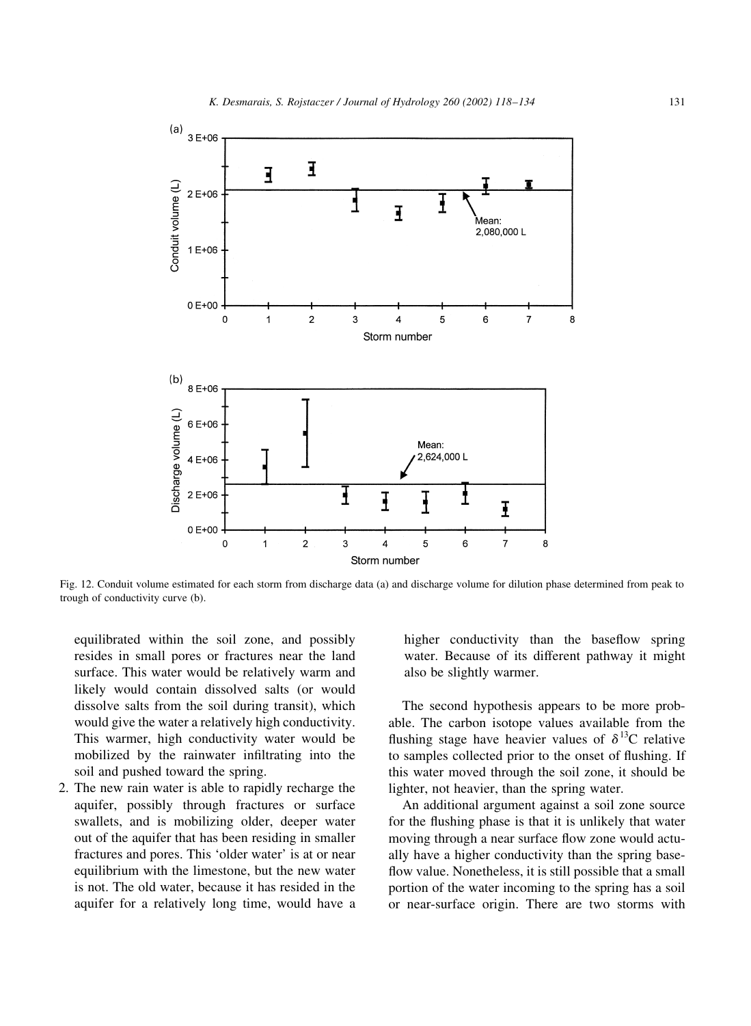

Fig. 12. Conduit volume estimated for each storm from discharge data (a) and discharge volume for dilution phase determined from peak to trough of conductivity curve (b).

equilibrated within the soil zone, and possibly resides in small pores or fractures near the land surface. This water would be relatively warm and likely would contain dissolved salts (or would dissolve salts from the soil during transit), which would give the water a relatively high conductivity. This warmer, high conductivity water would be mobilized by the rainwater infiltrating into the soil and pushed toward the spring.

2. The new rain water is able to rapidly recharge the aquifer, possibly through fractures or surface swallets, and is mobilizing older, deeper water out of the aquifer that has been residing in smaller fractures and pores. This 'older water' is at or near equilibrium with the limestone, but the new water is not. The old water, because it has resided in the aquifer for a relatively long time, would have a

higher conductivity than the baseflow spring water. Because of its different pathway it might also be slightly warmer.

The second hypothesis appears to be more probable. The carbon isotope values available from the flushing stage have heavier values of  $\delta^{13}C$  relative to samples collected prior to the onset of flushing. If this water moved through the soil zone, it should be lighter, not heavier, than the spring water.

An additional argument against a soil zone source for the flushing phase is that it is unlikely that water moving through a near surface flow zone would actually have a higher conductivity than the spring baseflow value. Nonetheless, it is still possible that a small portion of the water incoming to the spring has a soil or near-surface origin. There are two storms with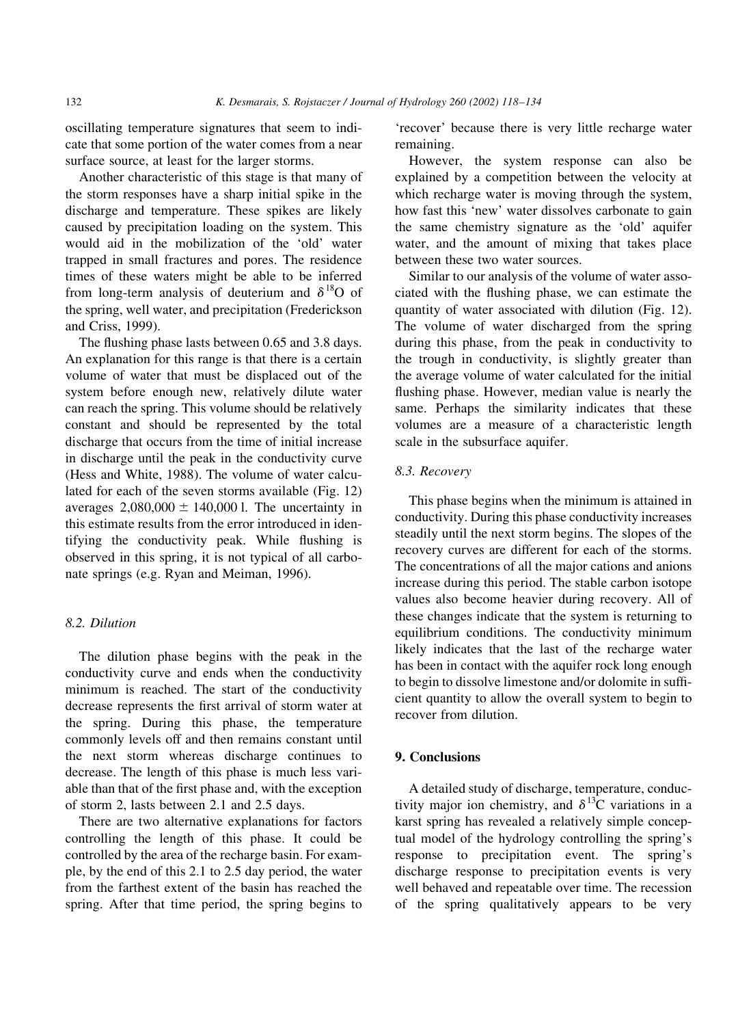oscillating temperature signatures that seem to indicate that some portion of the water comes from a near surface source, at least for the larger storms.

Another characteristic of this stage is that many of the storm responses have a sharp initial spike in the discharge and temperature. These spikes are likely caused by precipitation loading on the system. This would aid in the mobilization of the 'old' water trapped in small fractures and pores. The residence times of these waters might be able to be inferred from long-term analysis of deuterium and  $\delta^{18}$ O of the spring, well water, and precipitation (Frederickson and Criss, 1999).

The flushing phase lasts between 0.65 and 3.8 days. An explanation for this range is that there is a certain volume of water that must be displaced out of the system before enough new, relatively dilute water can reach the spring. This volume should be relatively constant and should be represented by the total discharge that occurs from the time of initial increase in discharge until the peak in the conductivity curve (Hess and White, 1988). The volume of water calculated for each of the seven storms available (Fig. 12) averages  $2,080,000 \pm 140,000$  l. The uncertainty in this estimate results from the error introduced in identifying the conductivity peak. While flushing is observed in this spring, it is not typical of all carbonate springs (e.g. Ryan and Meiman, 1996).

# 8.2. Dilution

The dilution phase begins with the peak in the conductivity curve and ends when the conductivity minimum is reached. The start of the conductivity decrease represents the first arrival of storm water at the spring. During this phase, the temperature commonly levels off and then remains constant until the next storm whereas discharge continues to decrease. The length of this phase is much less variable than that of the first phase and, with the exception of storm 2, lasts between 2.1 and 2.5 days.

There are two alternative explanations for factors controlling the length of this phase. It could be controlled by the area of the recharge basin. For example, by the end of this 2.1 to 2.5 day period, the water from the farthest extent of the basin has reached the spring. After that time period, the spring begins to

'recover' because there is very little recharge water remaining.

However, the system response can also be explained by a competition between the velocity at which recharge water is moving through the system, how fast this 'new' water dissolves carbonate to gain the same chemistry signature as the 'old' aquifer water, and the amount of mixing that takes place between these two water sources.

Similar to our analysis of the volume of water associated with the flushing phase, we can estimate the quantity of water associated with dilution (Fig. 12). The volume of water discharged from the spring during this phase, from the peak in conductivity to the trough in conductivity, is slightly greater than the average volume of water calculated for the initial flushing phase. However, median value is nearly the same. Perhaps the similarity indicates that these volumes are a measure of a characteristic length scale in the subsurface aquifer.

### 8.3. Recovery

This phase begins when the minimum is attained in conductivity. During this phase conductivity increases steadily until the next storm begins. The slopes of the recovery curves are different for each of the storms. The concentrations of all the major cations and anions increase during this period. The stable carbon isotope values also become heavier during recovery. All of these changes indicate that the system is returning to equilibrium conditions. The conductivity minimum likely indicates that the last of the recharge water has been in contact with the aquifer rock long enough to begin to dissolve limestone and/or dolomite in sufficient quantity to allow the overall system to begin to recover from dilution.

# 9. Conclusions

A detailed study of discharge, temperature, conductivity major ion chemistry, and  $\delta^{13}$ C variations in a karst spring has revealed a relatively simple conceptual model of the hydrology controlling the spring's response to precipitation event. The spring's discharge response to precipitation events is very well behaved and repeatable over time. The recession of the spring qualitatively appears to be very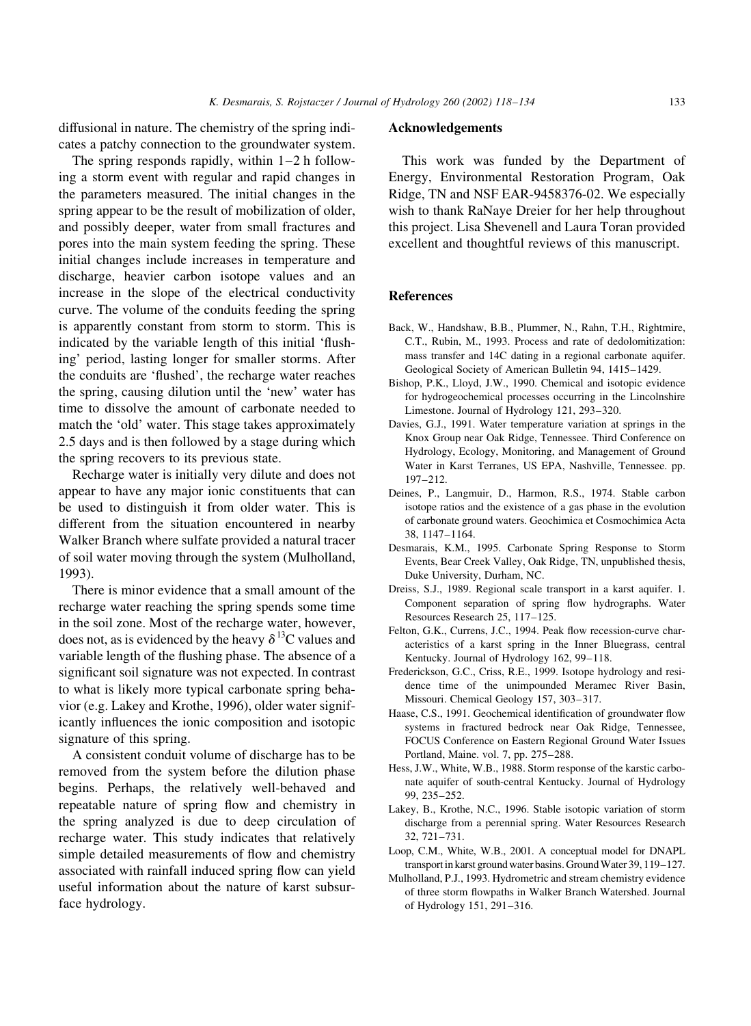diffusional in nature. The chemistry of the spring indicates a patchy connection to the groundwater system.

The spring responds rapidly, within  $1-2$  h following a storm event with regular and rapid changes in the parameters measured. The initial changes in the spring appear to be the result of mobilization of older, and possibly deeper, water from small fractures and pores into the main system feeding the spring. These initial changes include increases in temperature and discharge, heavier carbon isotope values and an increase in the slope of the electrical conductivity curve. The volume of the conduits feeding the spring is apparently constant from storm to storm. This is indicated by the variable length of this initial 'flushing' period, lasting longer for smaller storms. After the conduits are 'flushed', the recharge water reaches the spring, causing dilution until the 'new' water has time to dissolve the amount of carbonate needed to match the 'old' water. This stage takes approximately 2.5 days and is then followed by a stage during which the spring recovers to its previous state.

Recharge water is initially very dilute and does not appear to have any major ionic constituents that can be used to distinguish it from older water. This is different from the situation encountered in nearby Walker Branch where sulfate provided a natural tracer of soil water moving through the system (Mulholland, 1993).

There is minor evidence that a small amount of the recharge water reaching the spring spends some time in the soil zone. Most of the recharge water, however, does not, as is evidenced by the heavy  $\delta^{13}$ C values and variable length of the flushing phase. The absence of a significant soil signature was not expected. In contrast to what is likely more typical carbonate spring behavior (e.g. Lakey and Krothe, 1996), older water significantly influences the ionic composition and isotopic signature of this spring.

A consistent conduit volume of discharge has to be removed from the system before the dilution phase begins. Perhaps, the relatively well-behaved and repeatable nature of spring flow and chemistry in the spring analyzed is due to deep circulation of recharge water. This study indicates that relatively simple detailed measurements of flow and chemistry associated with rainfall induced spring flow can yield useful information about the nature of karst subsurface hydrology.

#### **Acknowledgements**

This work was funded by the Department of Energy, Environmental Restoration Program, Oak Ridge, TN and NSF EAR-9458376-02. We especially wish to thank RaNaye Dreier for her help throughout this project. Lisa Shevenell and Laura Toran provided excellent and thoughtful reviews of this manuscript.

#### **References**

- Back, W., Handshaw, B.B., Plummer, N., Rahn, T.H., Rightmire, C.T., Rubin, M., 1993. Process and rate of dedolomitization: mass transfer and 14C dating in a regional carbonate aquifer. Geological Society of American Bulletin 94, 1415-1429.
- Bishop, P.K., Lloyd, J.W., 1990. Chemical and isotopic evidence for hydrogeochemical processes occurring in the Lincolnshire Limestone. Journal of Hydrology 121, 293-320.
- Davies, G.J., 1991. Water temperature variation at springs in the Knox Group near Oak Ridge, Tennessee. Third Conference on Hydrology, Ecology, Monitoring, and Management of Ground Water in Karst Terranes, US EPA, Nashville, Tennessee. pp.  $197 - 212$
- Deines, P., Langmuir, D., Harmon, R.S., 1974. Stable carbon isotope ratios and the existence of a gas phase in the evolution of carbonate ground waters. Geochimica et Cosmochimica Acta 38. 1147-1164.
- Desmarais, K.M., 1995. Carbonate Spring Response to Storm Events, Bear Creek Valley, Oak Ridge, TN, unpublished thesis, Duke University, Durham, NC.
- Dreiss, S.J., 1989. Regional scale transport in a karst aquifer. 1. Component separation of spring flow hydrographs. Water Resources Research 25, 117-125.
- Felton, G.K., Currens, J.C., 1994. Peak flow recession-curve characteristics of a karst spring in the Inner Bluegrass, central Kentucky. Journal of Hydrology 162, 99-118.
- Frederickson, G.C., Criss, R.E., 1999. Isotope hydrology and residence time of the unimpounded Meramec River Basin, Missouri. Chemical Geology 157, 303-317.
- Haase, C.S., 1991. Geochemical identification of groundwater flow systems in fractured bedrock near Oak Ridge, Tennessee, FOCUS Conference on Eastern Regional Ground Water Issues Portland, Maine. vol. 7, pp. 275–288.
- Hess, J.W., White, W.B., 1988. Storm response of the karstic carbonate aquifer of south-central Kentucky. Journal of Hydrology 99, 235-252.
- Lakey, B., Krothe, N.C., 1996. Stable isotopic variation of storm discharge from a perennial spring. Water Resources Research 32, 721-731.
- Loop, C.M., White, W.B., 2001. A conceptual model for DNAPL transport in karst ground water basins. Ground Water 39, 119–127.
- Mulholland, P.J., 1993. Hydrometric and stream chemistry evidence of three storm flowpaths in Walker Branch Watershed. Journal of Hydrology 151, 291-316.